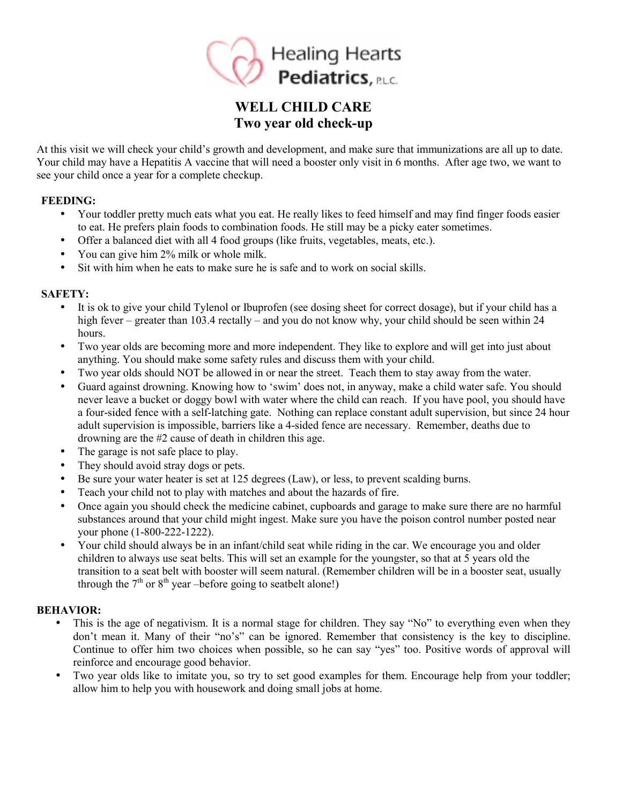

# **WELL CHILD CARE Two year old check-up**

At this visit we will check your child's growth and development, and make sure that immunizations are all up to date. Your child may have a Hepatitis A vaccine that will need a booster only visit in 6 months. After age two, we want to see your child once a year for a complete checkup.

# **FEEDING:**

- Your toddler pretty much eats what you eat. He really likes to feed himself and may find finger foods easier to eat. He prefers plain foods to combination foods. He still may be a picky eater sometimes.
- Offer a balanced diet with all 4 food groups (like fruits, vegetables, meats, etc.).
- You can give him 2% milk or whole milk.
- Sit with him when he eats to make sure he is safe and to work on social skills.

## **SAFETY:**

- It is ok to give your child Tylenol or Ibuprofen (see dosing sheet for correct dosage), but if your child has a high fever – greater than 103.4 rectally – and you do not know why, your child should be seen within 24 hours.
- Two year olds are becoming more and more independent. They like to explore and will get into just about anything. You should make some safety rules and discuss them with your child.
- Two year olds should NOT be allowed in or near the street. Teach them to stay away from the water.
- Guard against drowning. Knowing how to 'swim' does not, in anyway, make a child water safe. You should never leave a bucket or doggy bowl with water where the child can reach. If you have pool, you should have a four-sided fence with a self-latching gate. Nothing can replace constant adult supervision, but since 24 hour adult supervision is impossible, barriers like a 4-sided fence are necessary. Remember, deaths due to drowning are the #2 cause of death in children this age.
- The garage is not safe place to play.
- They should avoid stray dogs or pets.
- Be sure your water heater is set at 125 degrees (Law), or less, to prevent scalding burns.
- Teach your child not to play with matches and about the hazards of fire.
- Once again you should check the medicine cabinet, cupboards and garage to make sure there are no harmful substances around that your child might ingest. Make sure you have the poison control number posted near your phone (1-800-222-1222).
- Your child should always be in an infant/child seat while riding in the car. We encourage you and older children to always use seat belts. This will set an example for the youngster, so that at 5 years old the transition to a seat belt with booster will seem natural. (Remember children will be in a booster seat, usually through the  $7<sup>th</sup>$  or  $8<sup>th</sup>$  year –before going to seatbelt alone!)

### **BEHAVIOR:**

- This is the age of negativism. It is a normal stage for children. They say "No" to everything even when they don't mean it. Many of their "no's" can be ignored. Remember that consistency is the key to discipline. Continue to offer him two choices when possible, so he can say "yes" too. Positive words of approval will reinforce and encourage good behavior.
- Two year olds like to imitate you, so try to set good examples for them. Encourage help from your toddler; allow him to help you with housework and doing small jobs at home.